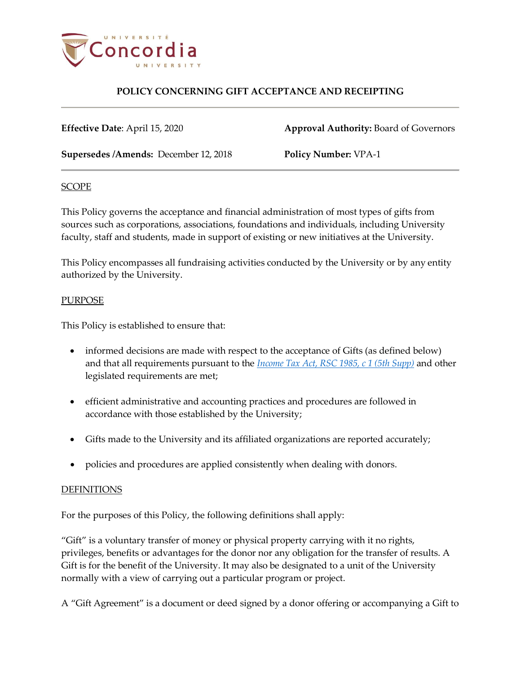

**Effective Date**: April 15, 2020 **Approval Authority: Board of Governors** 

**Supersedes /Amends:** December 12, 2018 **Policy Number:** VPA-1

#### **SCOPE**

This Policy governs the acceptance and financial administration of most types of gifts from sources such as corporations, associations, foundations and individuals, including University faculty, staff and students, made in support of existing or new initiatives at the University.

This Policy encompasses all fundraising activities conducted by the University or by any entity authorized by the University.

### PURPOSE

This Policy is established to ensure that:

- informed decisions are made with respect to the acceptance of Gifts (as defined below) and that all requirements pursuant to the *[Income Tax Act, RSC 1985, c 1 \(5th Supp\)](http://laws.justice.gc.ca/eng/acts/I-3.3/page-1.html)* and other legislated requirements are met;
- efficient administrative and accounting practices and procedures are followed in accordance with those established by the University;
- Gifts made to the University and its affiliated organizations are reported accurately;
- policies and procedures are applied consistently when dealing with donors.

### **DEFINITIONS**

For the purposes of this Policy, the following definitions shall apply:

"Gift" is a voluntary transfer of money or physical property carrying with it no rights, privileges, benefits or advantages for the donor nor any obligation for the transfer of results. A Gift is for the benefit of the University. It may also be designated to a unit of the University normally with a view of carrying out a particular program or project.

A "Gift Agreement" is a document or deed signed by a donor offering or accompanying a Gift to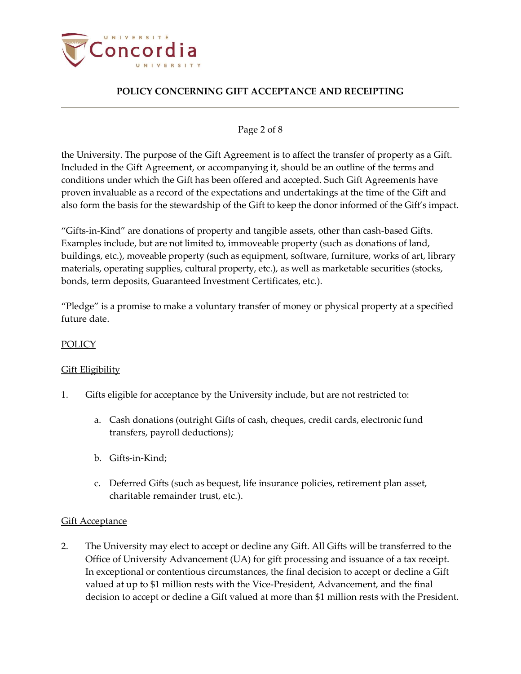

### Page 2 of 8

the University. The purpose of the Gift Agreement is to affect the transfer of property as a Gift. Included in the Gift Agreement, or accompanying it, should be an outline of the terms and conditions under which the Gift has been offered and accepted. Such Gift Agreements have proven invaluable as a record of the expectations and undertakings at the time of the Gift and also form the basis for the stewardship of the Gift to keep the donor informed of the Gift's impact.

"Gifts-in-Kind" are donations of property and tangible assets, other than cash-based Gifts. Examples include, but are not limited to, immoveable property (such as donations of land, buildings, etc.), moveable property (such as equipment, software, furniture, works of art, library materials, operating supplies, cultural property, etc.), as well as marketable securities (stocks, bonds, term deposits, Guaranteed Investment Certificates, etc.).

"Pledge" is a promise to make a voluntary transfer of money or physical property at a specified future date.

### **POLICY**

#### **Gift Eligibility**

- 1. Gifts eligible for acceptance by the University include, but are not restricted to:
	- a. Cash donations (outright Gifts of cash, cheques, credit cards, electronic fund transfers, payroll deductions);
	- b. Gifts-in-Kind;
	- c. Deferred Gifts (such as bequest, life insurance policies, retirement plan asset, charitable remainder trust, etc.).

#### Gift Acceptance

2. The University may elect to accept or decline any Gift. All Gifts will be transferred to the Office of University Advancement (UA) for gift processing and issuance of a tax receipt. In exceptional or contentious circumstances, the final decision to accept or decline a Gift valued at up to \$1 million rests with the Vice-President, Advancement, and the final decision to accept or decline a Gift valued at more than \$1 million rests with the President.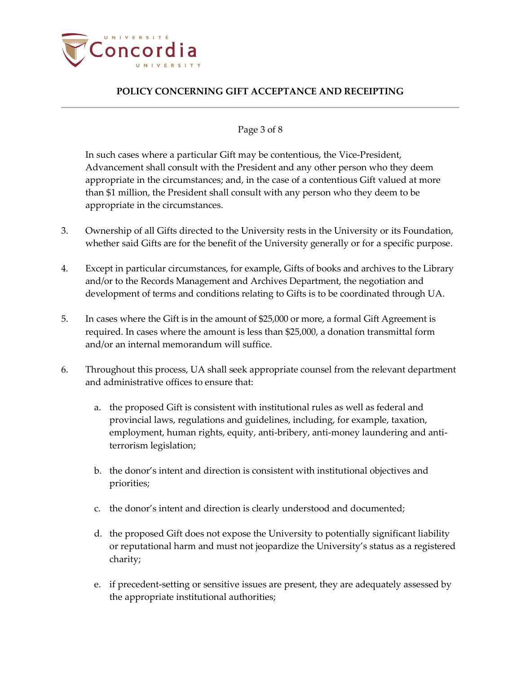

#### Page 3 of 8

In such cases where a particular Gift may be contentious, the Vice-President, Advancement shall consult with the President and any other person who they deem appropriate in the circumstances; and, in the case of a contentious Gift valued at more than \$1 million, the President shall consult with any person who they deem to be appropriate in the circumstances.

- 3. Ownership of all Gifts directed to the University rests in the University or its Foundation, whether said Gifts are for the benefit of the University generally or for a specific purpose.
- 4. Except in particular circumstances, for example, Gifts of books and archives to the Library and/or to the Records Management and Archives Department, the negotiation and development of terms and conditions relating to Gifts is to be coordinated through UA.
- 5. In cases where the Gift is in the amount of \$25,000 or more, a formal Gift Agreement is required. In cases where the amount is less than \$25,000, a donation transmittal form and/or an internal memorandum will suffice.
- 6. Throughout this process, UA shall seek appropriate counsel from the relevant department and administrative offices to ensure that:
	- a. the proposed Gift is consistent with institutional rules as well as federal and provincial laws, regulations and guidelines, including, for example, taxation, employment, human rights, equity, anti-bribery, anti-money laundering and antiterrorism legislation;
	- b. the donor's intent and direction is consistent with institutional objectives and priorities;
	- c. the donor's intent and direction is clearly understood and documented;
	- d. the proposed Gift does not expose the University to potentially significant liability or reputational harm and must not jeopardize the University's status as a registered charity;
	- e. if precedent-setting or sensitive issues are present, they are adequately assessed by the appropriate institutional authorities;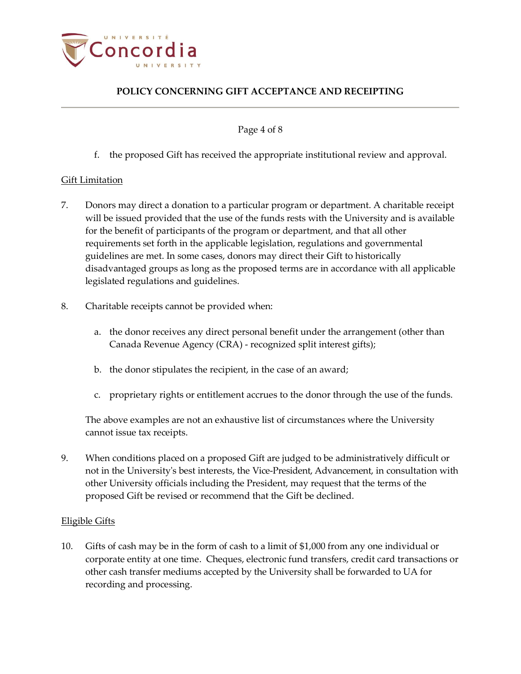

Page 4 of 8

f. the proposed Gift has received the appropriate institutional review and approval.

### Gift Limitation

- 7. Donors may direct a donation to a particular program or department. A charitable receipt will be issued provided that the use of the funds rests with the University and is available for the benefit of participants of the program or department, and that all other requirements set forth in the applicable legislation, regulations and governmental guidelines are met. In some cases, donors may direct their Gift to historically disadvantaged groups as long as the proposed terms are in accordance with all applicable legislated regulations and guidelines.
- 8. Charitable receipts cannot be provided when:
	- a. the donor receives any direct personal benefit under the arrangement (other than Canada Revenue Agency (CRA) - recognized split interest gifts);
	- b. the donor stipulates the recipient, in the case of an award;
	- c. proprietary rights or entitlement accrues to the donor through the use of the funds.

The above examples are not an exhaustive list of circumstances where the University cannot issue tax receipts.

9. When conditions placed on a proposed Gift are judged to be administratively difficult or not in the University's best interests, the Vice-President, Advancement, in consultation with other University officials including the President, may request that the terms of the proposed Gift be revised or recommend that the Gift be declined.

#### Eligible Gifts

10. Gifts of cash may be in the form of cash to a limit of \$1,000 from any one individual or corporate entity at one time. Cheques, electronic fund transfers, credit card transactions or other cash transfer mediums accepted by the University shall be forwarded to UA for recording and processing.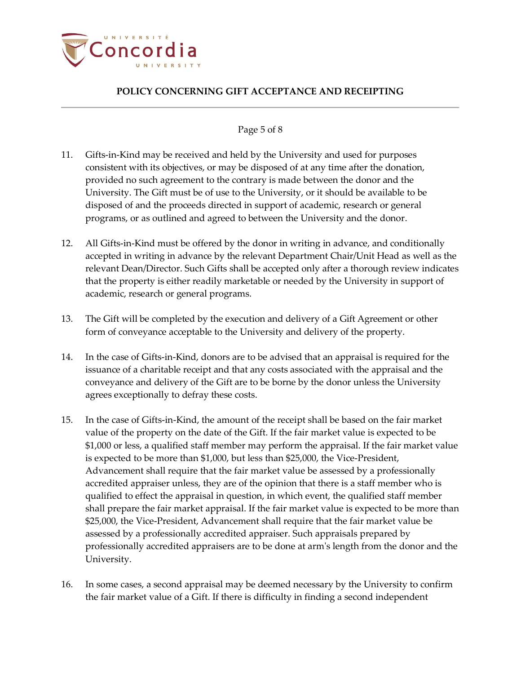

### Page 5 of 8

- 11. Gifts-in-Kind may be received and held by the University and used for purposes consistent with its objectives, or may be disposed of at any time after the donation, provided no such agreement to the contrary is made between the donor and the University. The Gift must be of use to the University, or it should be available to be disposed of and the proceeds directed in support of academic, research or general programs, or as outlined and agreed to between the University and the donor.
- 12. All Gifts-in-Kind must be offered by the donor in writing in advance, and conditionally accepted in writing in advance by the relevant Department Chair/Unit Head as well as the relevant Dean/Director. Such Gifts shall be accepted only after a thorough review indicates that the property is either readily marketable or needed by the University in support of academic, research or general programs.
- 13. The Gift will be completed by the execution and delivery of a Gift Agreement or other form of conveyance acceptable to the University and delivery of the property.
- 14. In the case of Gifts-in-Kind, donors are to be advised that an appraisal is required for the issuance of a charitable receipt and that any costs associated with the appraisal and the conveyance and delivery of the Gift are to be borne by the donor unless the University agrees exceptionally to defray these costs.
- 15. In the case of Gifts-in-Kind, the amount of the receipt shall be based on the fair market value of the property on the date of the Gift. If the fair market value is expected to be \$1,000 or less, a qualified staff member may perform the appraisal. If the fair market value is expected to be more than \$1,000, but less than \$25,000, the Vice-President, Advancement shall require that the fair market value be assessed by a professionally accredited appraiser unless, they are of the opinion that there is a staff member who is qualified to effect the appraisal in question, in which event, the qualified staff member shall prepare the fair market appraisal. If the fair market value is expected to be more than \$25,000, the Vice-President, Advancement shall require that the fair market value be assessed by a professionally accredited appraiser. Such appraisals prepared by professionally accredited appraisers are to be done at arm's length from the donor and the University.
- 16. In some cases, a second appraisal may be deemed necessary by the University to confirm the fair market value of a Gift. If there is difficulty in finding a second independent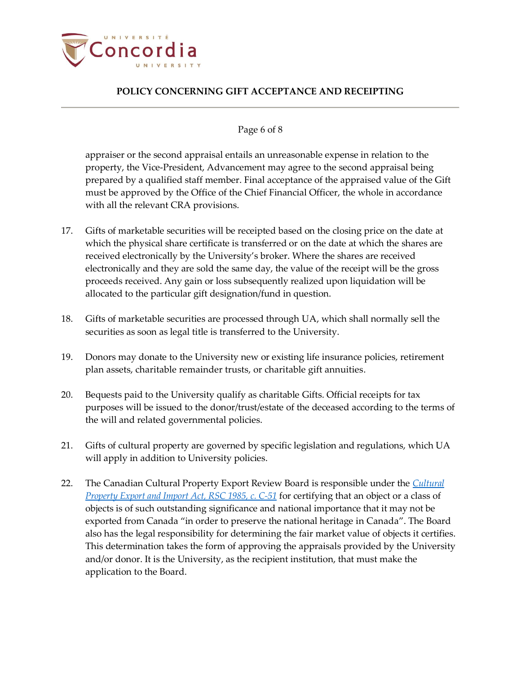

### Page 6 of 8

appraiser or the second appraisal entails an unreasonable expense in relation to the property, the Vice-President, Advancement may agree to the second appraisal being prepared by a qualified staff member. Final acceptance of the appraised value of the Gift must be approved by the Office of the Chief Financial Officer, the whole in accordance with all the relevant CRA provisions.

- 17. Gifts of marketable securities will be receipted based on the closing price on the date at which the physical share certificate is transferred or on the date at which the shares are received electronically by the University's broker. Where the shares are received electronically and they are sold the same day, the value of the receipt will be the gross proceeds received. Any gain or loss subsequently realized upon liquidation will be allocated to the particular gift designation/fund in question.
- 18. Gifts of marketable securities are processed through UA, which shall normally sell the securities as soon as legal title is transferred to the University.
- 19. Donors may donate to the University new or existing life insurance policies, retirement plan assets, charitable remainder trusts, or charitable gift annuities.
- 20. Bequests paid to the University qualify as charitable Gifts. Official receipts for tax purposes will be issued to the donor/trust/estate of the deceased according to the terms of the will and related governmental policies.
- 21. Gifts of cultural property are governed by specific legislation and regulations, which UA will apply in addition to University policies.
- 22. The Canadian Cultural Property Export Review Board is responsible under the *[Cultural](http://laws.justice.gc.ca/eng/acts/C-51/page-1.html)  [Property Export and Import Act, RSC 1985, c.](http://laws.justice.gc.ca/eng/acts/C-51/page-1.html) C-51* for certifying that an object or a class of objects is of such outstanding significance and national importance that it may not be exported from Canada "in order to preserve the national heritage in Canada". The Board also has the legal responsibility for determining the fair market value of objects it certifies. This determination takes the form of approving the appraisals provided by the University and/or donor. It is the University, as the recipient institution, that must make the application to the Board.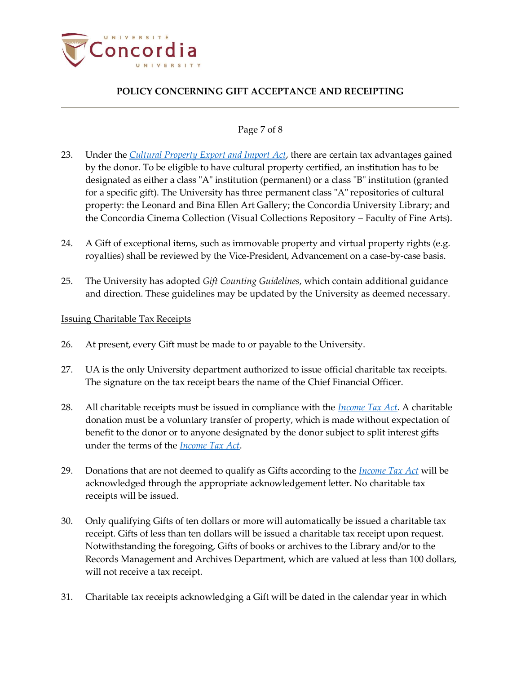

### Page 7 of 8

- 23. Under the *Cultural [Property Export](http://laws.justice.gc.ca/eng/acts/C-51/page-1.html) and Import Act*, there are certain tax advantages gained by the donor. To be eligible to have cultural property certified, an institution has to be designated as either a class "A" institution (permanent) or a class "B" institution (granted for a specific gift). The University has three permanent class "A" repositories of cultural property: the Leonard and Bina Ellen Art Gallery; the Concordia University Library; and the Concordia Cinema Collection (Visual Collections Repository – Faculty of Fine Arts).
- 24. A Gift of exceptional items, such as immovable property and virtual property rights (e.g. royalties) shall be reviewed by the Vice-President, Advancement on a case-by-case basis.
- 25. The University has adopted *Gift Counting Guidelines*, which contain additional guidance and direction. These guidelines may be updated by the University as deemed necessary.

#### Issuing Charitable Tax Receipts

- 26. At present, every Gift must be made to or payable to the University.
- 27. UA is the only University department authorized to issue official charitable tax receipts. The signature on the tax receipt bears the name of the Chief Financial Officer.
- 28. All charitable receipts must be issued in compliance with the *[Income Tax](http://laws.justice.gc.ca/eng/acts/I-3.3/page-1.html) Act*. A charitable donation must be a voluntary transfer of property, which is made without expectation of benefit to the donor or to anyone designated by the donor subject to split interest gifts under the terms of the *Income [Tax Act](http://laws.justice.gc.ca/eng/acts/I-3.3/page-1.html)*.
- 29. Donations that are not deemed to qualify as Gifts according to the *Income [Tax Act](http://laws.justice.gc.ca/eng/acts/I-3.3/page-1.html)* will be acknowledged through the appropriate acknowledgement letter. No charitable tax receipts will be issued.
- 30. Only qualifying Gifts of ten dollars or more will automatically be issued a charitable tax receipt. Gifts of less than ten dollars will be issued a charitable tax receipt upon request. Notwithstanding the foregoing, Gifts of books or archives to the Library and/or to the Records Management and Archives Department, which are valued at less than 100 dollars, will not receive a tax receipt.
- 31. Charitable tax receipts acknowledging a Gift will be dated in the calendar year in which